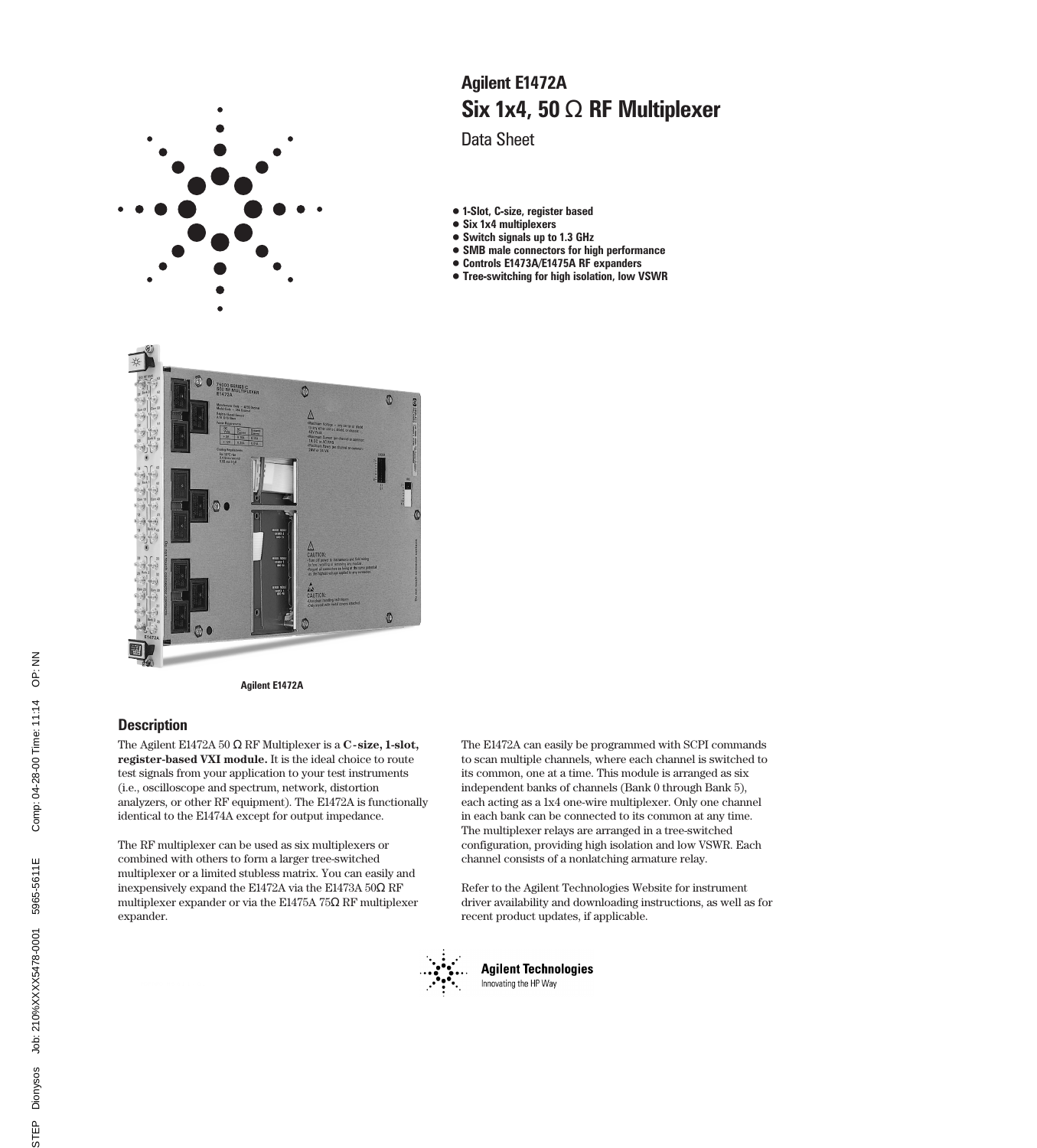

# Six 1x4, 50 Ω RF Multiplexer Agilent E1472A

Data Sheet

- 1-Slot, C-size, register based
- Six 1x4 multiplexers
- Switch signals up to 1.3 GHz
- SMB male connectors for high performance
- Controls E1473A/E1475A RF expanders
- Tree-switching for high isolation, low VSWR



Agilent E1472A

### **Description**

The Agilent E1472A 50 Ω RF Multiplexer is a **C-size, 1-slot, register-based VXI module.** It is the ideal choice to route test signals from your application to your test instruments (i.e., oscilloscope and spectrum, network, distortion analyzers, or other RF equipment). The E1472A is functionally identical to the E1474A except for output impedance.

The RF multiplexer can be used as six multiplexers or combined with others to form a larger tree-switched multiplexer or a limited stubless matrix. You can easily and inexpensively expand the E1472A via the E1473A 50Ω RF multiplexer expander or via the E1475A 75Ω RF multiplexer expander.

The E1472A can easily be programmed with SCPI commands to scan multiple channels, where each channel is switched to its common, one at a time. This module is arranged as six independent banks of channels (Bank 0 through Bank 5), each acting as a 1x4 one-wire multiplexer. Only one channel in each bank can be connected to its common at any time. The multiplexer relays are arranged in a tree-switched configuration, providing high isolation and low VSWR. Each channel consists of a nonlatching armature relay.

Refer to the Agilent Technologies Website for instrument driver availability and downloading instructions, as well as for recent product updates, if applicable.



**Agilent Technologies** Innovating the HP Way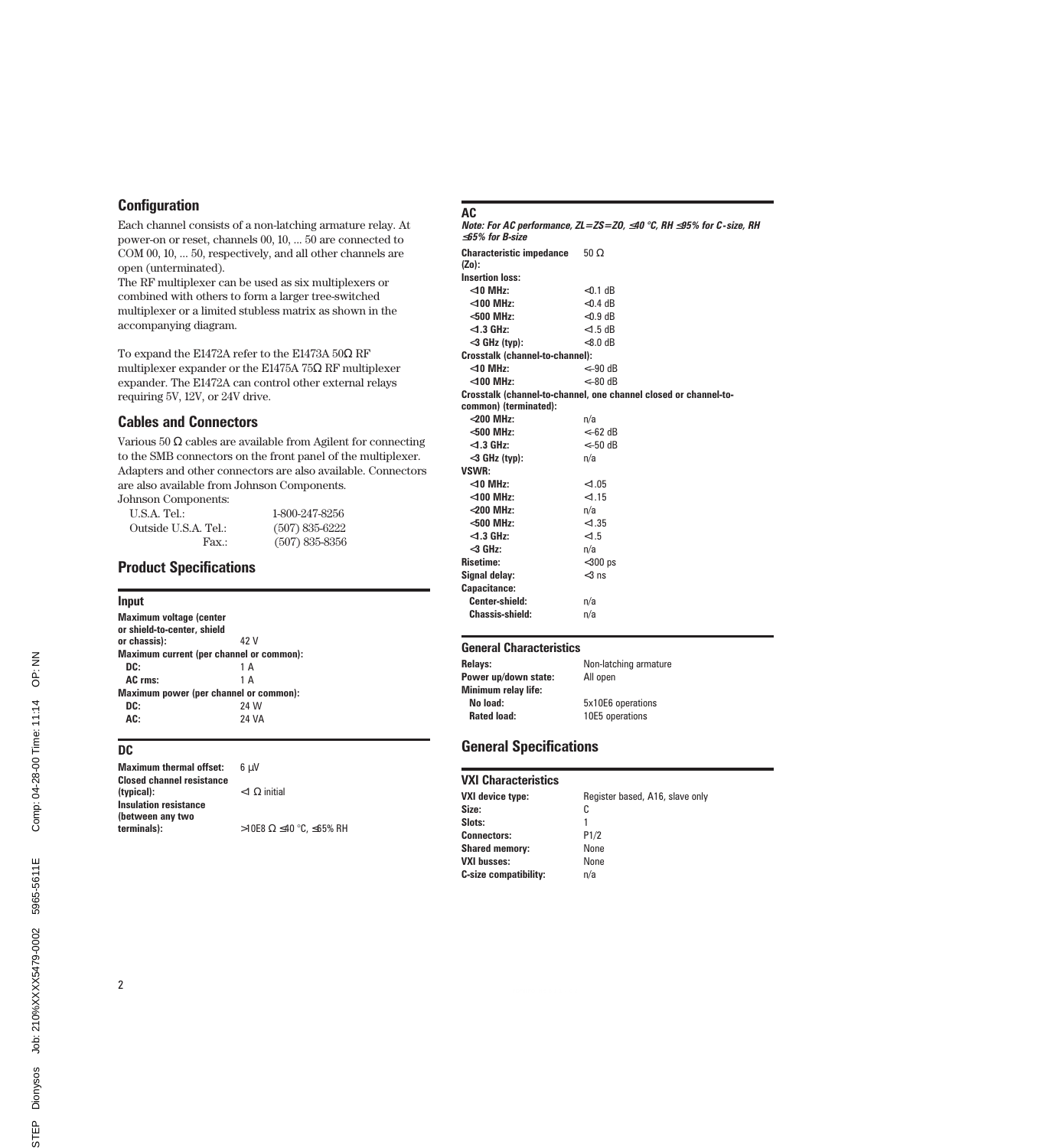### **Configuration**

Each channel consists of a non-latching armature relay. At power-on or reset, channels 00, 10, ... 50 are connected to COM 00, 10, ... 50, respectively, and all other channels are open (unterminated).

The RF multiplexer can be used as six multiplexers or combined with others to form a larger tree-switched multiplexer or a limited stubless matrix as shown in the accompanying diagram.

To expand the E1472A refer to the E1473A 50Ω RF multiplexer expander or the E1475A 75 $\Omega$  RF multiplexer expander. The E1472A can control other external relays requiring 5V, 12V, or 24V drive.

### Cables and Connectors

Various 50 Ω cables are available from Agilent for connecting to the SMB connectors on the front panel of the multiplexer. Adapters and other connectors are also available. Connectors are also available from Johnson Components.

Fax.: (507) 835-8356

Johnson Components: U.S.A. Tel.: 1-800-247-8256 Outside U.S.A. Tel.: (507) 835-6222

### Product Specifications

#### Input

| <b>Maximum voltage (center</b><br>or shield-to-center, shield |              |  |
|---------------------------------------------------------------|--------------|--|
| or chassis):                                                  | 42 V         |  |
| Maximum current (per channel or common):                      |              |  |
| DC:                                                           | 1 A          |  |
| AC rms:                                                       | 1 A          |  |
| Maximum power (per channel or common):                        |              |  |
| DC:                                                           | 24 W         |  |
| AC:                                                           | <b>24 VA</b> |  |

### DC

| <b>Maximum thermal offset:</b>                   | 6 u.V                   |
|--------------------------------------------------|-------------------------|
| <b>Closed channel resistance</b><br>(typical):   | $<$ 1 $\Omega$ initial  |
| <b>Insulation resistance</b><br>(between any two |                         |
| terminals):                                      | >10E8 Ω ≤40 °C, ≤65% RH |

### AC

Note: For AC performance, ZL=ZS=ZO, ≤40 °C, RH ≤95% for C-size, RH ≤65% for B-size Characteristic impedance (Zo): 50 Ω Insertion loss:  $<$ 10 MHz:  $<$ 0.1 dB <100 MHz: <0.4 dB  $<$ 500 MHz:  $<$ 0.9 dB<br> $<$ 1.3 GHz:  $<$ 1.5 dB  $<$ 1.3 GHz:  $<$ 1.5 dB<br> $<$ 3 GHz (tvn):  $<$ 8.0 dB  $<$ 3 GHz (tvp): Crosstalk (channel-to-channel): <10 MHz: <–90 dB  $<$ 100 MHz: Crosstalk (channel-to-channel, one channel closed or channel-tocommon) (terminated): <200 MHz: n/a  $<$ 500 MHz:  $<$ 1.3 GHz:  $<$   $<$   $<$  50 dB <3 GHz (typ): n/a VSWR: <10 MHz: <1.05 <100 MHz: <1.15 <200 MHz: n/a  $<$ 500 MHz:  $<$ 1.35  $<$ 1.3 GHz:  $<$ 1.5 <3 GHz: n/a Risetime: <300 ps Signal delay:  $<$ 3 ns Capacitance: Center-shield: n/a Chassis-shield: n/a

### General Characteristics

| Non-latching armature |
|-----------------------|
| All open              |
|                       |
| 5x10E6 operations     |
| 10E5 operations       |
|                       |

### General Specifications

| <b>VXI Characteristics</b>   |                                 |
|------------------------------|---------------------------------|
| VXI device type:             | Register based, A16, slave only |
| Size:                        | C                               |
| Slots:                       | 1                               |
| <b>Connectors:</b>           | P1/2                            |
| <b>Shared memory:</b>        | None                            |
| <b>VXI busses:</b>           | None                            |
| <b>C-size compatibility:</b> | n/a                             |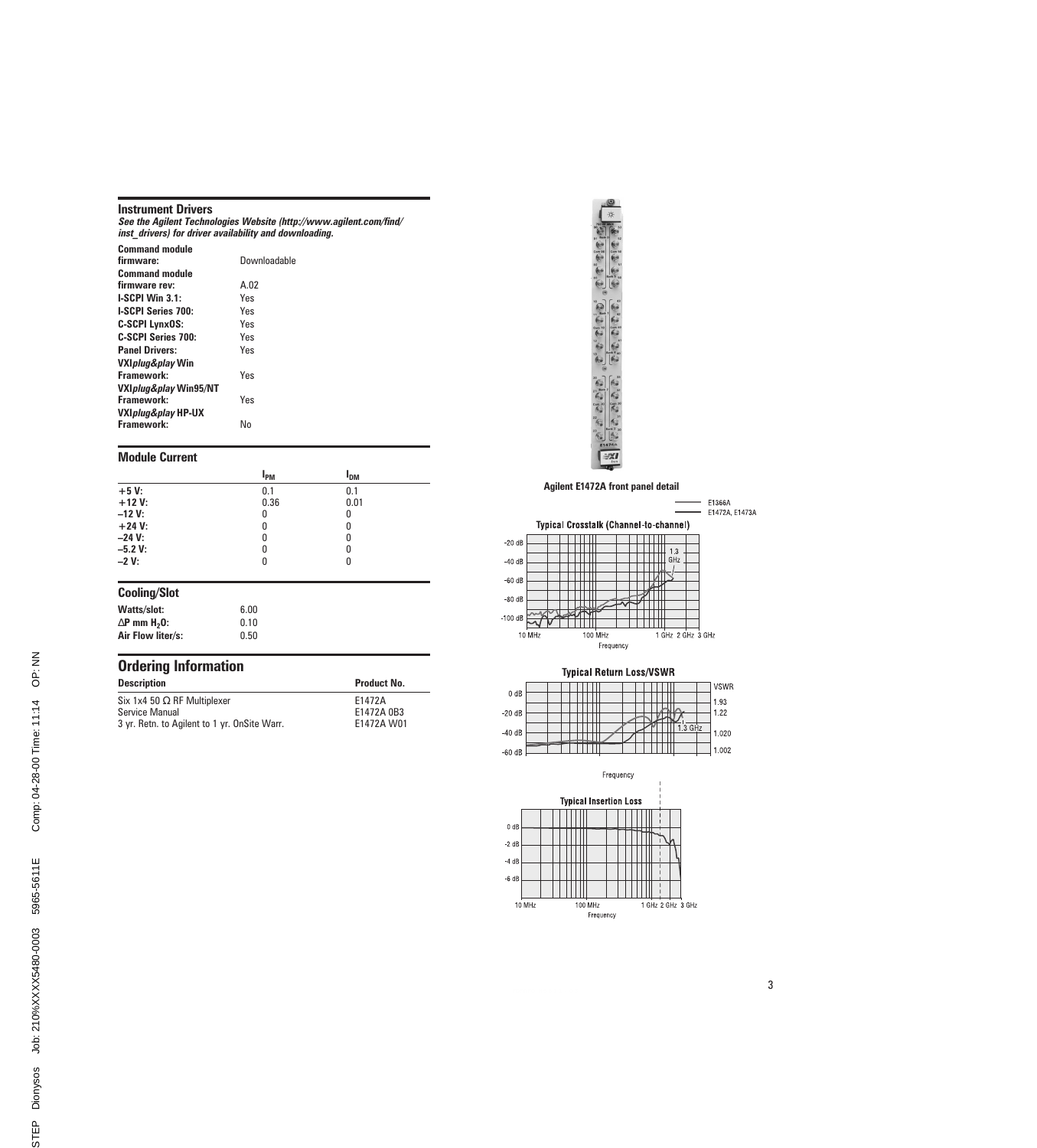|  | <b>Instrument Drivers</b> |  |
|--|---------------------------|--|
|--|---------------------------|--|

See the Agilent Technologies Website (http://www.agilent.com/find/ inst\_drivers) for driver availability and downloading.

| <b>Command module</b>             |              |
|-----------------------------------|--------------|
| firmware:                         | Downloadable |
| <b>Command module</b>             |              |
| firmware rev:                     | A.02         |
| <b>I-SCPI Win 3.1:</b>            | Yes          |
| <b>LSCPI Series 700:</b>          | Yes          |
| <b>C-SCPI LynxOS:</b>             | Yes          |
| C-SCPI Series 700:                | Yes          |
| <b>Panel Drivers:</b>             | Yes          |
| VXI <i>plug&amp;play</i> Win      |              |
| Framework:                        | Yes          |
| VXI <i>plug&amp;play</i> Win95/NT |              |
| Framework:                        | Yes          |
| VXI <i>plug&amp;play</i> HP-UX    |              |
| Framework:                        | N٥           |

#### Module Current

|           | l <sub>PM</sub> | I <sub>DM</sub> |  |
|-----------|-----------------|-----------------|--|
| $+5V$     | 0.1             | 0.1             |  |
| $+12V$ :  | 0.36            | 0.01            |  |
| $-12V$ :  | 0               | 0               |  |
| $+24 V:$  | 0               | 0               |  |
| $-24$ V:  | 0               | 0               |  |
| $-5.2 V:$ | 0               | 0               |  |
| $-2V:$    | 0               | N               |  |

#### Cooling/Slot

| Watts/slot:                     | 6.00 |
|---------------------------------|------|
| $\Delta$ P mm H <sub>2</sub> 0: | 0.10 |
| Air Flow liter/s:               | 0.50 |

### Ordering Information Description **Description** Product No. Six 1x4 50  $\Omega$  RF Multiplexer E1472A

E1472A W01

| Service Manual                               | E1472A 0B3 |
|----------------------------------------------|------------|
| 3 yr. Retn. to Agilent to 1 yr. OnSite Warr. | E1472A W0  |



Agilent E1472A front panel detail





Frequency